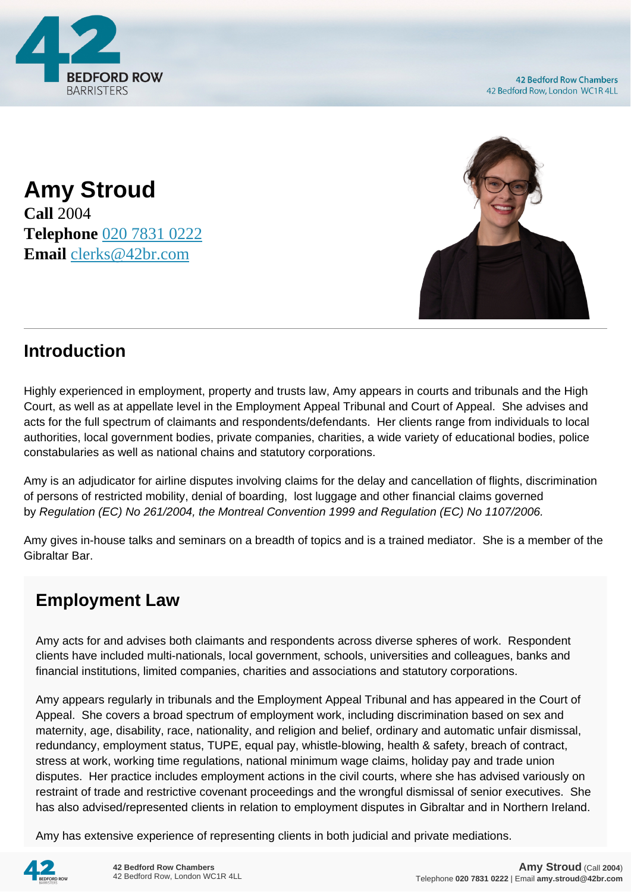

**42 Bedford Row Chambers** 42 Bedford Row, London WC1R 4LL

**Amy Stroud Call** 2004 **Telephone** [020 7831 0222](https://pdf.codeshore.co/_42br/tel:020 7831 0222) **Email** [clerks@42br.com](mailto:clerks@42br.com)



## **Introduction**

Highly experienced in employment, property and trusts law, Amy appears in courts and tribunals and the High Court, as well as at appellate level in the Employment Appeal Tribunal and Court of Appeal. She advises and acts for the full spectrum of claimants and respondents/defendants. Her clients range from individuals to local authorities, local government bodies, private companies, charities, a wide variety of educational bodies, police constabularies as well as national chains and statutory corporations.

Amy is an adjudicator for airline disputes involving claims for the delay and cancellation of flights, discrimination of persons of restricted mobility, denial of boarding, lost luggage and other financial claims governed by Regulation (EC) No 261/2004, the Montreal Convention 1999 and Regulation (EC) No 1107/2006.

Amy gives in-house talks and seminars on a breadth of topics and is a trained mediator. She is a member of the Gibraltar Bar.

## **Employment Law**

Amy acts for and advises both claimants and respondents across diverse spheres of work. Respondent clients have included multi-nationals, local government, schools, universities and colleagues, banks and financial institutions, limited companies, charities and associations and statutory corporations.

Amy appears regularly in tribunals and the Employment Appeal Tribunal and has appeared in the Court of Appeal. She covers a broad spectrum of employment work, including discrimination based on sex and maternity, age, disability, race, nationality, and religion and belief, ordinary and automatic unfair dismissal, redundancy, employment status, TUPE, equal pay, whistle-blowing, health & safety, breach of contract, stress at work, working time regulations, national minimum wage claims, holiday pay and trade union disputes. Her practice includes employment actions in the civil courts, where she has advised variously on restraint of trade and restrictive covenant proceedings and the wrongful dismissal of senior executives. She has also advised/represented clients in relation to employment disputes in Gibraltar and in Northern Ireland.

Amy has extensive experience of representing clients in both judicial and private mediations.